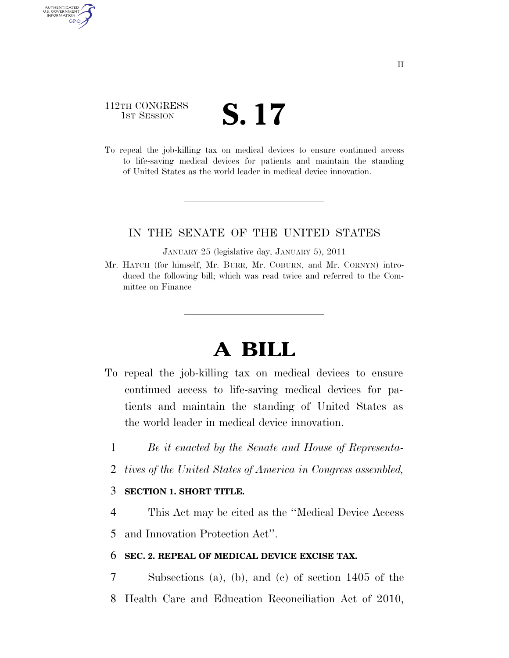## 112TH CONGRESS TH CONGRESS **S. 17**

AUTHENTICATED U.S. GOVERNMENT **GPO** 

> To repeal the job-killing tax on medical devices to ensure continued access to life-saving medical devices for patients and maintain the standing of United States as the world leader in medical device innovation.

### IN THE SENATE OF THE UNITED STATES

JANUARY 25 (legislative day, JANUARY 5), 2011

Mr. HATCH (for himself, Mr. BURR, Mr. COBURN, and Mr. CORNYN) introduced the following bill; which was read twice and referred to the Committee on Finance

# **A BILL**

- To repeal the job-killing tax on medical devices to ensure continued access to life-saving medical devices for patients and maintain the standing of United States as the world leader in medical device innovation.
	- 1 *Be it enacted by the Senate and House of Representa-*
	- 2 *tives of the United States of America in Congress assembled,*

### 3 **SECTION 1. SHORT TITLE.**

4 This Act may be cited as the ''Medical Device Access

5 and Innovation Protection Act''.

#### 6 **SEC. 2. REPEAL OF MEDICAL DEVICE EXCISE TAX.**

7 Subsections (a), (b), and (c) of section 1405 of the

8 Health Care and Education Reconciliation Act of 2010,